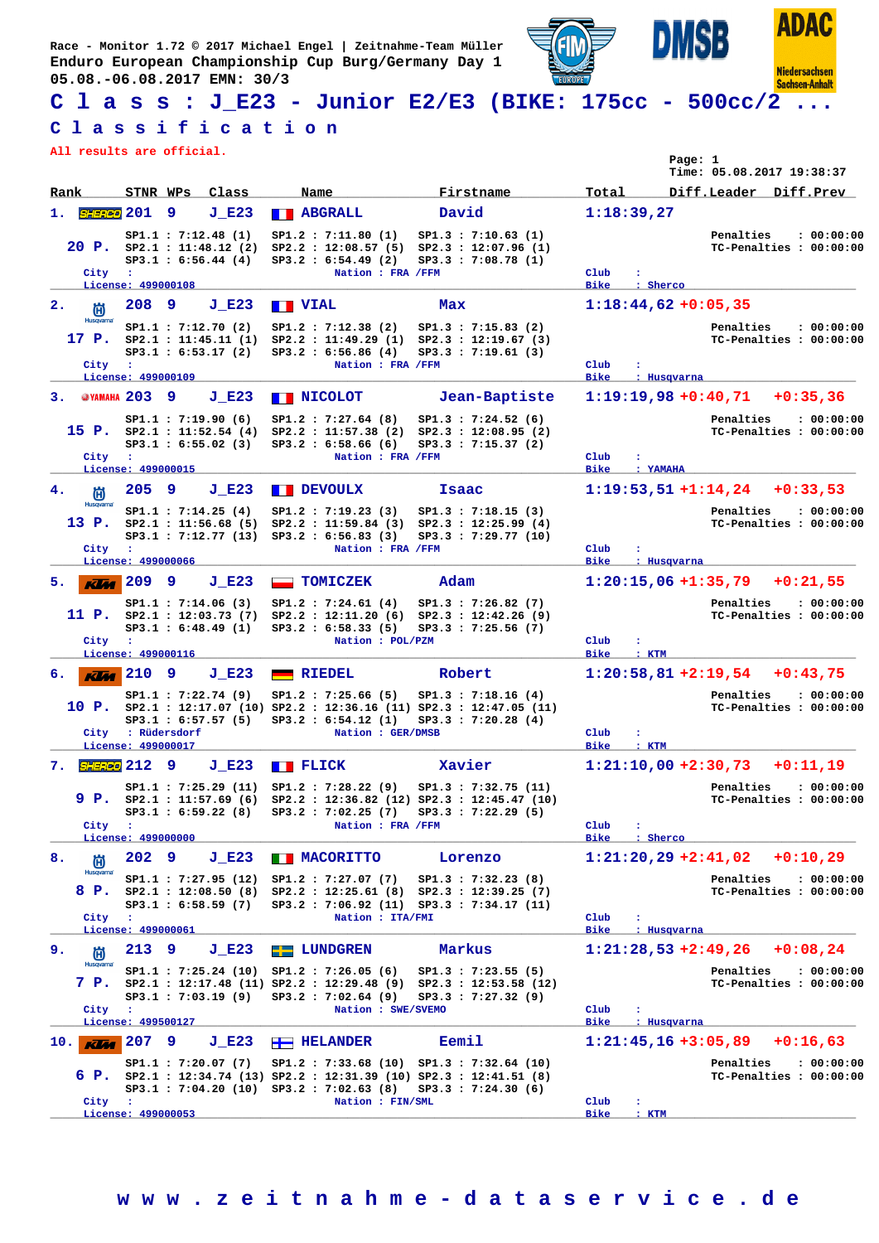**Race - Monitor 1.72 © 2017 Michael Engel | Zeitnahme-Team Müller Enduro European Championship Cup Burg/Germany Day 1 05.08.-06.08.2017 EMN: 30/3**





**Niedersachsen Sachsen-Anhalt** 

ISB

## **C l a s s : J\_E23 - Junior E2/E3 (BIKE: 175cc - 500cc/2 ...**

## **C l a s s i f i c a t i o n**

**All results are official.**

|                                           |                                    |              |                                                                          |                    |                                                                                                                                                                                      |              |                                                                                                                   |                                 |                                  | Page: 1 | Time: 05.08.2017 19:38:37      |                                       |
|-------------------------------------------|------------------------------------|--------------|--------------------------------------------------------------------------|--------------------|--------------------------------------------------------------------------------------------------------------------------------------------------------------------------------------|--------------|-------------------------------------------------------------------------------------------------------------------|---------------------------------|----------------------------------|---------|--------------------------------|---------------------------------------|
| Rank                                      | STNR WPs                           |              | Class                                                                    | Name               |                                                                                                                                                                                      |              | Firstname                                                                                                         | Total                           |                                  |         | Diff.Leader Diff.Prev          |                                       |
| <i>SHERED</i> 201<br>1.                   |                                    | 9            | $J$ E23                                                                  | <b>BEARGRALL</b>   |                                                                                                                                                                                      | David        |                                                                                                                   |                                 | 1:18:39,27                       |         |                                |                                       |
| 20 P.<br>City                             | $\mathbf{r}$<br>License: 499000108 |              | SP1.1 : 7:12.48(1)<br>SP2.1 : 11:48.12 (2)<br>SP3.1 : 6:56.44 (4)        |                    | SP1.2 : 7:11.80(1)<br>$SP2.2$ : 12:08.57 (5)<br>SP3.2 : 6:54.49 (2)<br>Nation : FRA /FFM                                                                                             |              | SP1.3 : 7:10.63(1)<br>SP2.3 : 12:07.96 (1)<br>SP3.3 : 7:08.78(1)                                                  | Club<br><b>Bike</b>             | : Sherco                         |         | Penalties                      | : 00:00:00<br>TC-Penalties : 00:00:00 |
| $\mathbf{2}$ .<br>尚                       | 208                                | -9           | $J$ E23                                                                  | <b>TERMINAL</b>    |                                                                                                                                                                                      | Max          |                                                                                                                   |                                 | $1:18:44,62+0:05,35$             |         |                                |                                       |
| <b>Husqvarna</b><br>17 P.<br>City         | $\sim$ 100<br>License: 499000109   |              | SP1.1 : 7:12.70 (2)<br>SP2.1 : 11:45.11 (1)<br>SP3.1 : 6:53.17(2)        |                    | SP1.2 : 7:12.38 (2)<br>SP2.2 : 11:49.29 (1) SP2.3 : 12:19.67 (3)<br>SP3.2 : 6:56.86 (4)<br>Nation : FRA /FFM                                                                         |              | SP1.3 : 7:15.83 (2)<br>SP3.3 : 7:19.61(3)                                                                         | Club<br><b>Bike</b>             | : Husqvarna                      |         | Penalties                      | : 00:00:00<br>TC-Penalties : 00:00:00 |
| 3.                                        | <b>@YAMAHA 203 9</b>               |              | $J$ $E23$                                                                | <b>NICOLOT</b>     |                                                                                                                                                                                      |              | Jean-Baptiste                                                                                                     |                                 | $1:19:19,98 + 0:40,71$           |         |                                | $+0:35,36$                            |
| City                                      | ÷                                  |              | SP1.1 : 7:19.90(6)<br>15 P. $SP2.1 : 11:52.54 (4)$<br>SP3.1 : 6:55.02(3) |                    | SP1.2 : 7:27.64 (8)<br>SP2.2 : 11:57.38 (2) SP2.3 : 12:08.95 (2)<br>SP3.2 : 6:58.66(6)<br>Nation : FRA /FFM                                                                          |              | SP1.3 : 7:24.52(6)<br>$SP3.3$ : 7:15.37 (2)                                                                       | Club                            |                                  |         | Penalties                      | : 00:00:00<br>TC-Penalties : 00:00:00 |
| 4.                                        | License: 499000015<br>205          | -9           | $J$ E23                                                                  | <b>FEVOULX</b>     |                                                                                                                                                                                      | <b>Isaac</b> |                                                                                                                   | <b>Bike</b>                     | : YAMAHA<br>$1:19:53,51+1:14,24$ |         |                                | $+0:33,53$                            |
| 尚<br><b>Husqvarna</b><br>13 P.<br>City    | - 11<br>License: 499000066         |              | SP1.1 : 7:14.25(4)<br>SP2.1 : 11:56.68(5)<br>SP3.1: 7:12.77 (13)         |                    | SP1.2 : 7:19.23(3)<br>SP2.2 : 11:59.84 (3)<br>SP3.2 : 6:56.83(3)<br>Nation : FRA /FFM                                                                                                |              | SP1.3 : 7:18.15(3)<br>SP2.3 : 12:25.99(4)<br>SP3.3: 7:29.77 (10)                                                  | Club<br><b>Bike</b>             | ÷<br>: Husqvarna                 |         | Penalties                      | : 00:00:00<br>TC-Penalties : 00:00:00 |
| 5.<br><b>KVM</b>                          | 209                                | 9            | $J$ E23                                                                  |                    | <b>TOMICZEK</b>                                                                                                                                                                      | Adam         |                                                                                                                   |                                 | $1:20:15,06 + 1:35,79$           |         |                                | $+0:21,55$                            |
| 11 P.<br>City                             | $\cdot$                            |              | SP1.1 : 7:14.06(3)<br>SP2.1 : 12:03.73 (7)<br>SP3.1 : 6:48.49(1)         |                    | SP1.2 : 7:24.61(4)<br>SP2.2 : 12:11.20(6)<br>SP3.2 : 6:58.33 (5)<br>Nation : POL/PZM                                                                                                 |              | SP1.3 : 7:26.82(7)<br>$SP2.3$ : 12:42.26 (9)<br>SP3.3 : 7:25.56(7)                                                | Club                            | $\mathbf{r}$                     |         | Penalties                      | : 00:00:00<br>TC-Penalties : 00:00:00 |
|                                           | License: 499000116                 |              |                                                                          |                    |                                                                                                                                                                                      |              |                                                                                                                   | <b>Bike</b>                     | : KTM                            |         |                                |                                       |
| $\overline{KM}$ 210<br>б.                 |                                    | 9            | $J$ E23                                                                  |                    | <b>RIEDEL</b>                                                                                                                                                                        | Robert       |                                                                                                                   |                                 | $1:20:58,81+2:19,54$             |         |                                | $+0:43,75$                            |
| 10 P.<br>City                             | License: 499000017                 | : Rüdersdorf | SP1.1 : 7:22.74 (9)<br>SP3.1 : 6:57.57(5)                                |                    | SP1.2 : 7:25.66(5)<br>SP3.2 : 6:54.12 (1)<br>Nation : GER/DMSB                                                                                                                       |              | SP1.3 : 7:18.16 (4)<br>SP2.1 : 12:17.07 (10) SP2.2 : 12:36.16 (11) SP2.3 : 12:47.05 (11)<br>$SP3.3$ : 7:20.28 (4) | Club<br><b>Bike</b>             | ÷<br>: KTM                       |         | Penalties                      | : 00:00:00<br>TC-Penalties : 00:00:00 |
| <i>SHERED</i> 212<br>7.                   |                                    | 9            | J E23                                                                    | <b>TELECK</b>      |                                                                                                                                                                                      | Xavier       |                                                                                                                   |                                 | $1:21:10,00 + 2:30,73$           |         |                                | $+0:11,19$                            |
| 9 P.<br>City                              | $\sim 10$<br>License: 499000000    |              | SP1.1 : 7:25.29 (11)<br>SP2.1 : 11:57.69(6)<br>SP3.1 : 6:59.22 (8)       |                    | SP1.2 : 7:28.22(9)<br>SP3.2: 7:02.25 (7)<br>Nation : FRA /FFM                                                                                                                        |              | SP1.3 : 7:32.75 (11)<br>SP2.2 : 12:36.82 (12) SP2.3 : 12:45.47 (10)<br>SP3.3 : 7:22.29(5)                         | $_{\text{Club}}$<br>Bike        | ÷<br>: Sherco                    |         | Penalties                      | : 00:00:00<br>TC-Penalties : 00:00:00 |
| 8.<br>尚                                   | $202$ 9                            |              | $J$ E23                                                                  |                    | <b>NACORITTO</b>                                                                                                                                                                     |              | Lorenzo                                                                                                           |                                 |                                  |         | $1:21:20,29$ +2:41,02 +0:10,29 |                                       |
| Husqvarna <sup>®</sup><br>8 P.<br>City    | $\sim$ 100<br>License: 499000061   |              | SP3.1 : 6:58.59 (7)                                                      |                    | SP1.1: 7:27.95 (12) SP1.2: 7:27.07 (7)<br>$SP2.1$ : 12:08.50 (8) $SP2.2$ : 12:25.61 (8) $SP2.3$ : 12:39.25 (7)<br>SP3.2: 7:06.92 (11) SP3.3: 7:34.17 (11)<br>Nation : ITA/FMI        |              | SP1.3 : 7:32.23(8)                                                                                                | $_{\rm Club}$<br>Bike           | : Husqvarna                      |         | Penalties                      | : 00:00:00<br>TC-Penalties : 00:00:00 |
| 9.<br>尚                                   | 213 9                              |              | $J$ E23                                                                  | <b>EE</b> LUNDGREN |                                                                                                                                                                                      | Markus       |                                                                                                                   |                                 | $1:21:28,53$ +2:49,26            |         |                                | $+0:08,24$                            |
| <b>Husqvarna</b><br>7 P.<br>City          | $\sim$ 100<br>License: 499500127   |              | SP1.1 : 7:25.24 (10)<br>SP3.1: 7:03.19 (9)                               |                    | SP1.2 : 7:26.05(6)<br>SP3.2 : 7:02.64 (9)<br>Nation : SWE/SVEMO                                                                                                                      |              | SP1.3 : 7:23.55(5)<br>SP2.1: 12:17.48 (11) SP2.2: 12:29.48 (9) SP2.3: 12:53.58 (12)<br>SP3.3 : 7:27.32(9)         | $_{\text{Club}}$<br><b>Bike</b> | ÷<br>: Husqvarna                 |         | Penalties                      | : 00:00:00<br>TC-Penalties : 00:00:00 |
| $10.$ $\overline{K}$ $\overline{M}$ $207$ |                                    | 9            | $J$ E23                                                                  | <b>HELANDER</b>    |                                                                                                                                                                                      | Eemil        |                                                                                                                   |                                 | $1:21:45,16+3:05,89$             |         |                                | $+0:16,63$                            |
| City                                      | $\mathbf{r}$<br>License: 499000053 |              | SP1.1 : 7:20.07(7)                                                       |                    | SP1.2: 7:33.68 (10) SP1.3: 7:32.64 (10)<br>6 P. $SP2.1$ : 12:34.74 (13) $SP2.2$ : 12:31.39 (10) $SP2.3$ : 12:41.51 (8)<br>SP3.1: 7:04.20 (10) SP3.2: 7:02.63 (8)<br>Nation : FIN/SML |              | $SP3.3$ : 7:24.30 (6)                                                                                             | Club<br><b>Bike</b>             | ÷<br>: KTM                       |         | Penalties                      | : 00:00:00<br>TC-Penalties : 00:00:00 |